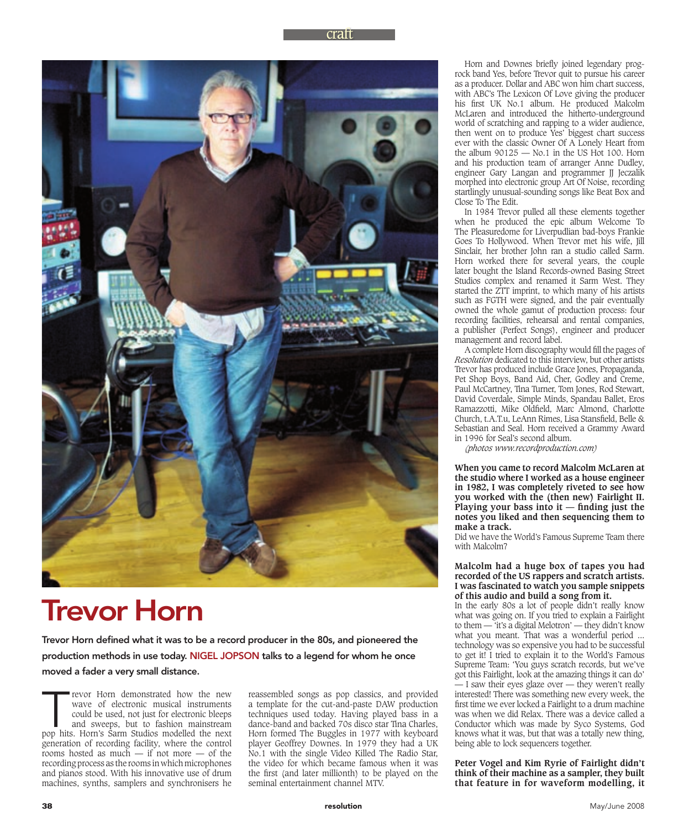

# Trevor Horn

Trevor Horn defined what it was to be a record producer in the 80s, and pioneered the production methods in use today. NIGEL JOPSON talks to a legend for whom he once moved a fader a very small distance.

Trevor Horn demonstrated how the new wave of electronic musical instruments could be used, not just for electronic bleeps and sweeps, but to fashion mainstream pop hits. Horn's Sarm Studios modelled the next wave of electronic musical instruments could be used, not just for electronic bleeps and sweeps, but to fashion mainstream generation of recording facility, where the control rooms hosted as much — if not more — of the recording process as the rooms in which microphones and pianos stood. With his innovative use of drum machines, synths, samplers and synchronisers he

reassembled songs as pop classics, and provided a template for the cut-and-paste DAW production techniques used today. Having played bass in a dance-band and backed 70s disco star Tina Charles, Horn formed The Buggles in 1977 with keyboard player Geoffrey Downes. In 1979 they had a UK No.1 with the single Video Killed The Radio Star, the video for which became famous when it was the first (and later millionth) to be played on the seminal entertainment channel MTV.

Horn and Downes briefly joined legendary progrock band Yes, before Trevor quit to pursue his career as a producer. Dollar and ABC won him chart success, with ABC's The Lexicon Of Love giving the producer his first UK No.1 album. He produced Malcolm McLaren and introduced the hitherto-underground world of scratching and rapping to a wider audience, then went on to produce Yes' biggest chart success ever with the classic Owner Of A Lonely Heart from the album  $90125 -$  No.1 in the US Hot 100. Horn and his production team of arranger Anne Dudley, engineer Gary Langan and programmer JJ Jeczalik morphed into electronic group Art Of Noise, recording startlingly unusual-sounding songs like Beat Box and Close To The Edit.

In 1984 Trevor pulled all these elements together when he produced the epic album Welcome To The Pleasuredome for Liverpudlian bad-boys Frankie Goes To Hollywood. When Trevor met his wife, Jill Sinclair, her brother John ran a studio called Sarm. Horn worked there for several years, the couple later bought the Island Records-owned Basing Street Studios complex and renamed it Sarm West. They started the ZTT imprint, to which many of his artists such as FGTH were signed, and the pair eventually owned the whole gamut of production process: four recording facilities, rehearsal and rental companies, a publisher (Perfect Songs), engineer and producer management and record label.

A complete Horn discography would fill the pages of *Resolution* dedicated to this interview, but other artists Trevor has produced include Grace Jones, Propaganda, Pet Shop Boys, Band Aid, Cher, Godley and Creme, Paul McCartney, Tina Turner, Tom Jones, Rod Stewart, David Coverdale, Simple Minds, Spandau Ballet, Eros Ramazzotti, Mike Oldfield, Marc Almond, Charlotte Church, t.A.T.u, LeAnn Rimes, Lisa Stansfield, Belle & Sebastian and Seal. Horn received a Grammy Award in 1996 for Seal's second album.

*(photos www.recordproduction.com)*

**When you came to record Malcolm McLaren at the studio where I worked as a house engineer in 1982, I was completely riveted to see how you worked with the (then new) Fairlight II.**  Playing your bass into  $it$  – finding just the **notes you liked and then sequencing them to make a track.**

Did we have the World's Famous Supreme Team there with Malcolm?

#### **Malcolm had a huge box of tapes you had recorded of the US rappers and scratch artists. I was fascinated to watch you sample snippets of this audio and build a song from it.**

In the early 80s a lot of people didn't really know what was going on. If you tried to explain a Fairlight to them — 'it's a digital Melotron' — they didn't know what you meant. That was a wonderful period ... technology was so expensive you had to be successful to get it! I tried to explain it to the World's Famous Supreme Team: 'You guys scratch records, but we've got this Fairlight, look at the amazing things it can do' — I saw their eyes glaze over — they weren't really interested! There was something new every week, the first time we ever locked a Fairlight to a drum machine was when we did Relax. There was a device called a Conductor which was made by Syco Systems, God knows what it was, but that was a totally new thing, being able to lock sequencers together.

**Peter Vogel and Kim Ryrie of Fairlight didn't think of their machine as a sampler, they built that feature in for waveform modelling, it**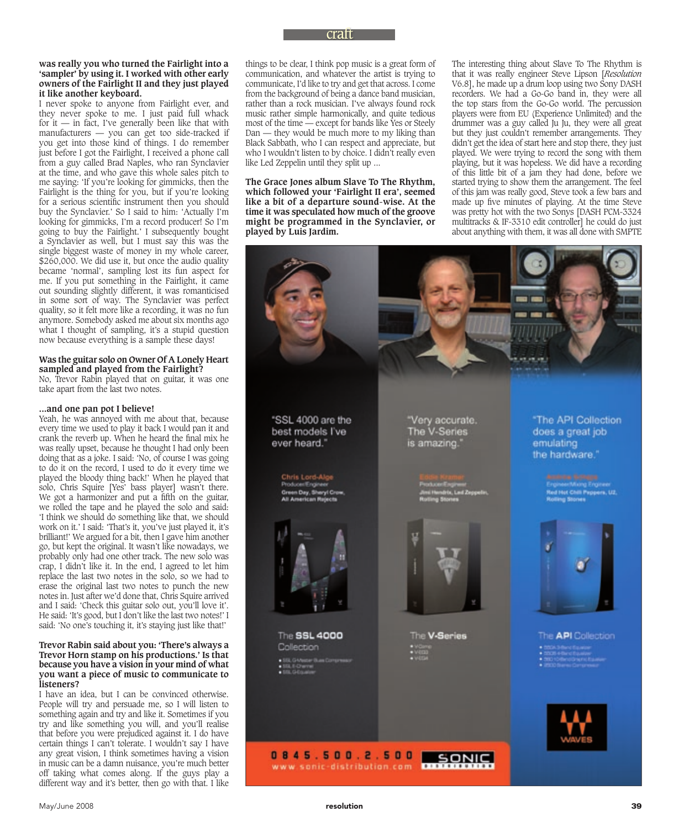#### **was really you who turned the Fairlight into a 'sampler' by using it. I worked with other early owners of the Fairlight II and they just played it like another keyboard.**

I never spoke to anyone from Fairlight ever, and they never spoke to me. I just paid full whack for it — in fact, I've generally been like that with manufacturers — you can get too side-tracked if you get into those kind of things. I do remember just before I got the Fairlight, I received a phone call from a guy called Brad Naples, who ran Synclavier at the time, and who gave this whole sales pitch to me saying: 'If you're looking for gimmicks, then the Fairlight is the thing for you, but if you're looking for a serious scientific instrument then you should buy the Synclavier.' So I said to him: 'Actually I'm looking for gimmicks, I'm a record producer! So I'm going to buy the Fairlight.' I subsequently bought a Synclavier as well, but I must say this was the single biggest waste of money in my whole career, \$260,000. We did use it, but once the audio quality became 'normal', sampling lost its fun aspect for me. If you put something in the Fairlight, it came out sounding slightly different, it was romanticised in some sort of way. The Synclavier was perfect quality, so it felt more like a recording, it was no fun anymore. Somebody asked me about six months ago what I thought of sampling, it's a stupid question now because everything is a sample these days!

#### **Was the guitar solo on Owner Of A Lonely Heart sampled and played from the Fairlight?**

No, Trevor Rabin played that on guitar, it was one take apart from the last two notes.

# **...and one pan pot I believe!**

Yeah, he was annoyed with me about that, because every time we used to play it back I would pan it and crank the reverb up. When he heard the final mix he was really upset, because he thought I had only been doing that as a joke. I said: 'No, of course I was going to do it on the record, I used to do it every time we played the bloody thing back!' When he played that solo, Chris Squire [Yes' bass player] wasn't there. We got a harmonizer and put a fifth on the guitar, we rolled the tape and he played the solo and said: 'I think we should do something like that, we should work on it.' I said: 'That's it, you've just played it, it's brilliant!' We argued for a bit, then I gave him another go, but kept the original. It wasn't like nowadays, we probably only had one other track. The new solo was crap, I didn't like it. In the end, I agreed to let him replace the last two notes in the solo, so we had to erase the original last two notes to punch the new notes in. Just after we'd done that, Chris Squire arrived and I said: 'Check this guitar solo out, you'll love it'. He said: 'It's good, but I don't like the last two notes!' I said: 'No one's touching it, it's staying just like that!'

#### **Trevor Rabin said about you: 'There's always a Trevor Horn stamp on his productions.' Is that because you have a vision in your mind of what you want a piece of music to communicate to listeners?**

I have an idea, but I can be convinced otherwise. People will try and persuade me, so I will listen to something again and try and like it. Sometimes if you try and like something you will, and you'll realise that before you were prejudiced against it. I do have certain things I can't tolerate. I wouldn't say I have any great vision, I think sometimes having a vision in music can be a damn nuisance, you're much better off taking what comes along. If the guys play a different way and it's better, then go with that. I like

things to be clear, I think pop music is a great form of communication, and whatever the artist is trying to communicate, I'd like to try and get that across. I come from the background of being a dance band musician, rather than a rock musician. I've always found rock music rather simple harmonically, and quite tedious most of the time — except for bands like Yes or Steely Dan — they would be much more to my liking than Black Sabbath, who I can respect and appreciate, but who I wouldn't listen to by choice. I didn't really even like Led Zeppelin until they split up ...

**The Grace Jones album Slave To The Rhythm, which followed your 'Fairlight II era', seemed like a bit of a departure sound-wise. At the time it was speculated how much of the groove might be programmed in the Synclavier, or played by Luis Jardim.**

The interesting thing about Slave To The Rhythm is that it was really engineer Steve Lipson [*Resolution*  V6.8], he made up a drum loop using two Sony DASH recorders. We had a Go-Go band in, they were all the top stars from the Go-Go world. The percussion players were from EU (Experience Unlimited) and the drummer was a guy called Ju Ju, they were all great but they just couldn't remember arrangements. They didn't get the idea of start here and stop there, they just played. We were trying to record the song with them playing, but it was hopeless. We did have a recording of this little bit of a jam they had done, before we started trying to show them the arrangement. The feel of this jam was really good, Steve took a few bars and made up five minutes of playing. At the time Steve was pretty hot with the two Sonys [DASH PCM-3324 multitracks & IF-3310 edit controller] he could do just about anything with them, it was all done with SMPTE

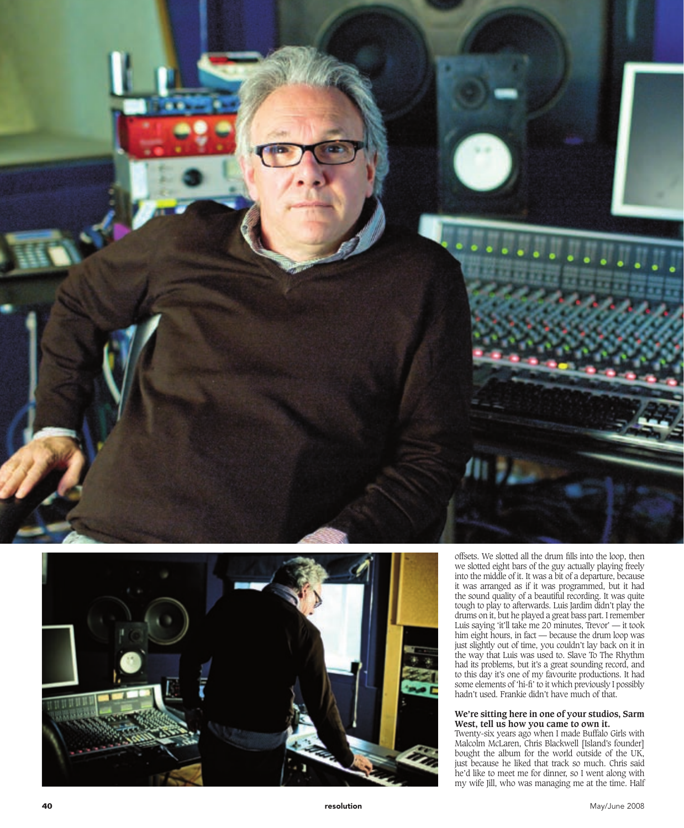



offsets. We slotted all the drum fills into the loop, then we slotted eight bars of the guy actually playing freely into the middle of it. It was a bit of a departure, because it was arranged as if it was programmed, but it had the sound quality of a beautiful recording. It was quite tough to play to afterwards. Luis Jardim didn't play the drums on it, but he played a great bass part. I remember Luis saying 'it'll take me 20 minutes, Trevor' — it took him eight hours, in fact — because the drum loop was just slightly out of time, you couldn't lay back on it in the way that Luis was used to. Slave To The Rhythm had its problems, but it's a great sounding record, and to this day it's one of my favourite productions. It had some elements of 'hi-fi' to it which previously I possibly hadn't used. Frankie didn't have much of that.

# **We're sitting here in one of your studios, Sarm West, tell us how you came to own it.**

Twenty-six years ago when I made Buffalo Girls with Malcolm McLaren, Chris Blackwell [Island's founder] bought the album for the world outside of the UK, just because he liked that track so much. Chris said he'd like to meet me for dinner, so I went along with my wife Jill, who was managing me at the time. Half